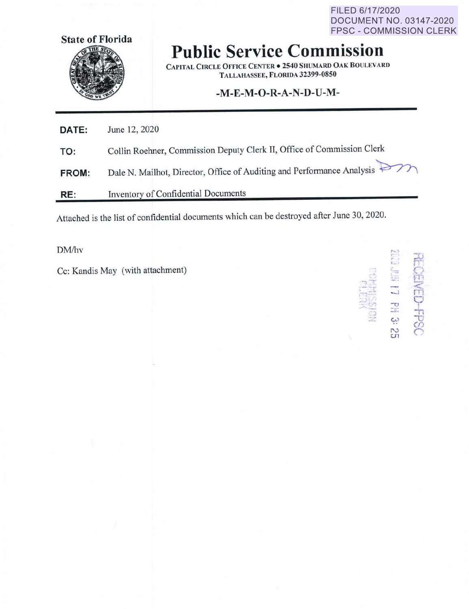FILED 6/17/2020 DOCUMENT NO. 03147-2020 FPSC - COMMISSION CLERK



## **Public Service Commission**

**CAPITAL CIRCLE OFFICE CENTER• 2540 SHUMARD OAK BOULEVARD TALLAHASSEE, FLORIDA 32399-0850** 

## **-M-E-M-0-R-A-N-D-U-M-**

**DATE: TO:**  June 12, 2020 Collin Roehner, Commission Deputy Clerk II, Office of Commission Clerk **FROM:**  Dale N. Mailhot, Director, Office of Auditing and Performance Analysis~

**RE: Inventory** of Confidential Documents

Attached is the list of confidential documents which can be destroyed after June 30, 2020.

 $\text{DM/hv}$  , which is a set of the set of the set of the set of the set of the set of the set of the set of the set of the set of the set of the set of the set of the set of the set of the set of the set of the set of the

Cc: Kandis May (with attachment)

, *-r-* -. ,. '-- *,')* .. -, -·· } t -, <sup>&</sup>lt; **--0** <sup>0</sup> ' **:.G** -h  $\ddot{\phantom{1}}$ CJ) **N** *r"*  **CJl** '-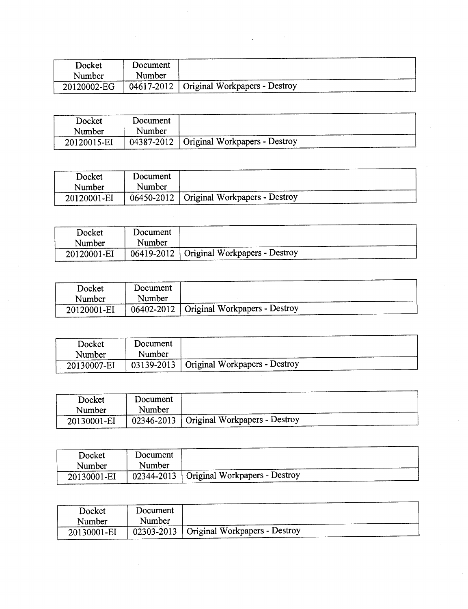| Docket      | Document |                                            |
|-------------|----------|--------------------------------------------|
| Number      | Number   |                                            |
| 20120002-EG |          | 04617-2012   Original Workpapers - Destroy |

 $\mathcal{L}^{\mathcal{L}}(\mathcal{L}^{\mathcal{L}})$  and the contribution of the contribution of the contribution of the contribution of the contribution of the contribution of the contribution of the contribution of the contribution of the con

| Docket      | Document |                                            |
|-------------|----------|--------------------------------------------|
| Number      | Number   |                                            |
| 20120015-EI |          | 04387-2012   Original Workpapers - Destroy |

| Docket      | Document |                                            |
|-------------|----------|--------------------------------------------|
| Number      | Number   |                                            |
| 20120001-EI |          | 06450-2012   Original Workpapers - Destroy |

| Docket<br>Number | Document<br>Number |                                            |
|------------------|--------------------|--------------------------------------------|
| 20120001-EI      |                    | 06419-2012   Original Workpapers - Destroy |

| Docket      | Document |                                            |
|-------------|----------|--------------------------------------------|
| Number      | Number   |                                            |
| 20120001-EI |          | 06402-2012   Original Workpapers - Destroy |

| Docket<br>Number | Document<br>Number |                                            |
|------------------|--------------------|--------------------------------------------|
| 20130007-EI      |                    | 03139-2013   Original Workpapers - Destroy |

| Docket<br>Number | Document<br>Number |                                              |
|------------------|--------------------|----------------------------------------------|
| 20130001-EI      |                    | $02346 - 2013$ Original Workpapers - Destroy |

| Docket      | Document |                                            |  |
|-------------|----------|--------------------------------------------|--|
|             |          |                                            |  |
| Number      | Number   |                                            |  |
|             |          |                                            |  |
| 20130001-EI |          | 02344-2013   Original Workpapers - Destroy |  |

| Docket      | Document |                                            |
|-------------|----------|--------------------------------------------|
| Number      | Number   |                                            |
| 20130001-EI |          | 02303-2013   Original Workpapers - Destroy |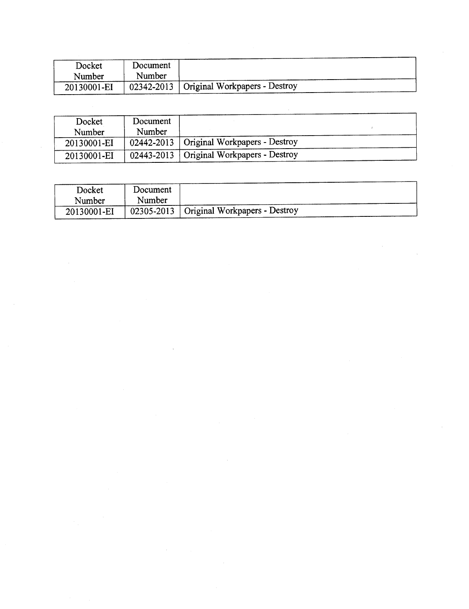| Docket      | Document |                                            |
|-------------|----------|--------------------------------------------|
| Number      | Number   |                                            |
| 20130001-EI |          | 02342-2013   Original Workpapers - Destroy |

| Docket      | Document |                                            |
|-------------|----------|--------------------------------------------|
| Number      | Number   |                                            |
| 20130001-EI |          | 02442-2013   Original Workpapers - Destroy |
| 20130001-EI |          | 02443-2013   Original Workpapers - Destroy |

| Docket      | Document |                                            |
|-------------|----------|--------------------------------------------|
| Number      | Number   |                                            |
| 20130001-EI |          | 02305-2013   Original Workpapers - Destroy |

 $\mathcal{L}^{\text{max}}_{\text{max}}$  , where  $\mathcal{L}^{\text{max}}_{\text{max}}$